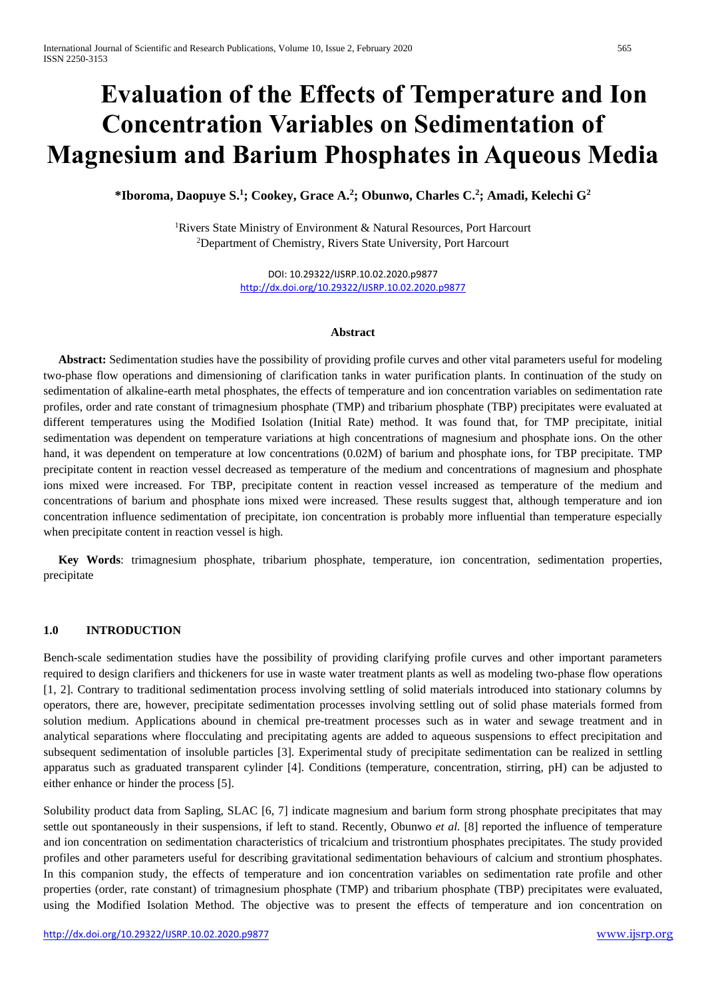# **Evaluation of the Effects of Temperature and Ion Concentration Variables on Sedimentation of Magnesium and Barium Phosphates in Aqueous Media**

**\*Iboroma, Daopuye S.<sup>1</sup> ; Cookey, Grace A.<sup>2</sup> ; Obunwo, Charles C.<sup>2</sup> ; Amadi, Kelechi G<sup>2</sup>**

<sup>1</sup>Rivers State Ministry of Environment & Natural Resources, Port Harcourt <sup>2</sup>Department of Chemistry, Rivers State University, Port Harcourt

> DOI: 10.29322/IJSRP.10.02.2020.p9877 <http://dx.doi.org/10.29322/IJSRP.10.02.2020.p9877>

#### **Abstract**

 **Abstract:** Sedimentation studies have the possibility of providing profile curves and other vital parameters useful for modeling two-phase flow operations and dimensioning of clarification tanks in water purification plants. In continuation of the study on sedimentation of alkaline-earth metal phosphates, the effects of temperature and ion concentration variables on sedimentation rate profiles, order and rate constant of trimagnesium phosphate (TMP) and tribarium phosphate (TBP) precipitates were evaluated at different temperatures using the Modified Isolation (Initial Rate) method. It was found that, for TMP precipitate, initial sedimentation was dependent on temperature variations at high concentrations of magnesium and phosphate ions. On the other hand, it was dependent on temperature at low concentrations (0.02M) of barium and phosphate ions, for TBP precipitate. TMP precipitate content in reaction vessel decreased as temperature of the medium and concentrations of magnesium and phosphate ions mixed were increased. For TBP, precipitate content in reaction vessel increased as temperature of the medium and concentrations of barium and phosphate ions mixed were increased. These results suggest that, although temperature and ion concentration influence sedimentation of precipitate, ion concentration is probably more influential than temperature especially when precipitate content in reaction vessel is high.

 **Key Words**: trimagnesium phosphate, tribarium phosphate, temperature, ion concentration, sedimentation properties, precipitate

## **1.0 INTRODUCTION**

Bench-scale sedimentation studies have the possibility of providing clarifying profile curves and other important parameters required to design clarifiers and thickeners for use in waste water treatment plants as well as modeling two-phase flow operations [1, 2]. Contrary to traditional sedimentation process involving settling of solid materials introduced into stationary columns by operators, there are, however, precipitate sedimentation processes involving settling out of solid phase materials formed from solution medium. Applications abound in chemical pre-treatment processes such as in water and sewage treatment and in analytical separations where flocculating and precipitating agents are added to aqueous suspensions to effect precipitation and subsequent sedimentation of insoluble particles [3]. Experimental study of precipitate sedimentation can be realized in settling apparatus such as graduated transparent cylinder [4]. Conditions (temperature, concentration, stirring, pH) can be adjusted to either enhance or hinder the process [5].

Solubility product data from Sapling, SLAC [6, 7] indicate magnesium and barium form strong phosphate precipitates that may settle out spontaneously in their suspensions, if left to stand. Recently, Obunwo *et al.* [8] reported the influence of temperature and ion concentration on sedimentation characteristics of tricalcium and tristrontium phosphates precipitates. The study provided profiles and other parameters useful for describing gravitational sedimentation behaviours of calcium and strontium phosphates. In this companion study, the effects of temperature and ion concentration variables on sedimentation rate profile and other properties (order, rate constant) of trimagnesium phosphate (TMP) and tribarium phosphate (TBP) precipitates were evaluated, using the Modified Isolation Method. The objective was to present the effects of temperature and ion concentration on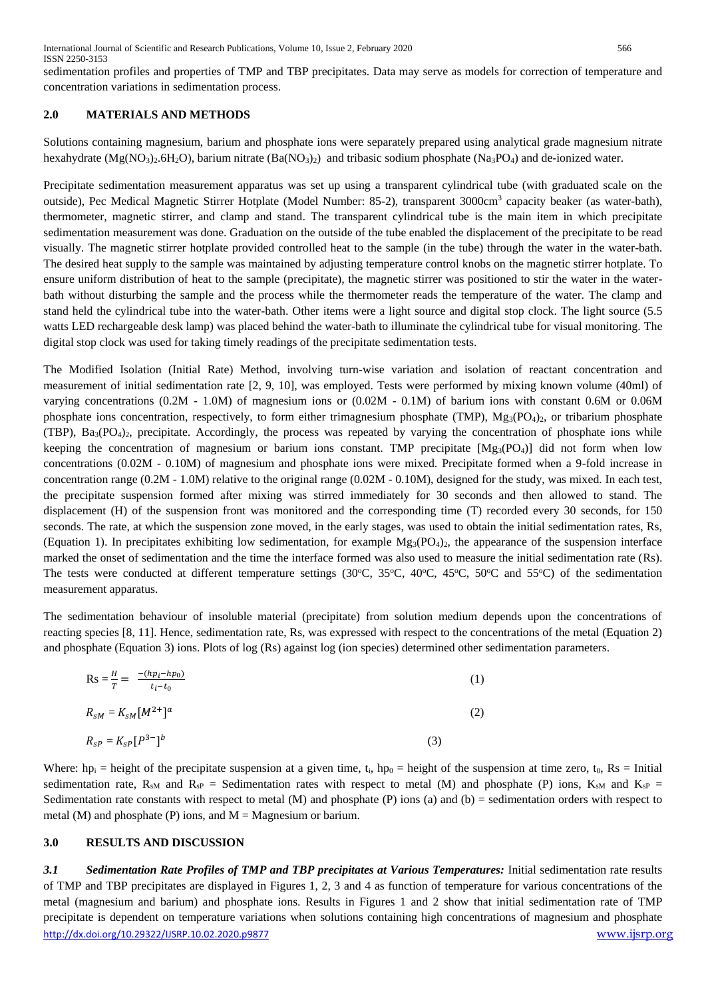International Journal of Scientific and Research Publications, Volume 10, Issue 2, February 2020 566 ISSN 2250-3153

sedimentation profiles and properties of TMP and TBP precipitates. Data may serve as models for correction of temperature and concentration variations in sedimentation process.

## **2.0 MATERIALS AND METHODS**

Solutions containing magnesium, barium and phosphate ions were separately prepared using analytical grade magnesium nitrate hexahydrate (Mg(NO<sub>3</sub>)<sub>2</sub>.6H<sub>2</sub>O), barium nitrate (Ba(NO<sub>3</sub>)<sub>2</sub>) and tribasic sodium phosphate (Na<sub>3</sub>PO<sub>4</sub>) and de-ionized water.

Precipitate sedimentation measurement apparatus was set up using a transparent cylindrical tube (with graduated scale on the outside), Pec Medical Magnetic Stirrer Hotplate (Model Number: 85-2), transparent 3000cm<sup>3</sup> capacity beaker (as water-bath), thermometer, magnetic stirrer, and clamp and stand. The transparent cylindrical tube is the main item in which precipitate sedimentation measurement was done. Graduation on the outside of the tube enabled the displacement of the precipitate to be read visually. The magnetic stirrer hotplate provided controlled heat to the sample (in the tube) through the water in the water-bath. The desired heat supply to the sample was maintained by adjusting temperature control knobs on the magnetic stirrer hotplate. To ensure uniform distribution of heat to the sample (precipitate), the magnetic stirrer was positioned to stir the water in the waterbath without disturbing the sample and the process while the thermometer reads the temperature of the water. The clamp and stand held the cylindrical tube into the water-bath. Other items were a light source and digital stop clock. The light source (5.5 watts LED rechargeable desk lamp) was placed behind the water-bath to illuminate the cylindrical tube for visual monitoring. The digital stop clock was used for taking timely readings of the precipitate sedimentation tests.

The Modified Isolation (Initial Rate) Method, involving turn-wise variation and isolation of reactant concentration and measurement of initial sedimentation rate [2, 9, 10], was employed. Tests were performed by mixing known volume (40ml) of varying concentrations (0.2M - 1.0M) of magnesium ions or (0.02M - 0.1M) of barium ions with constant 0.6M or 0.06M phosphate ions concentration, respectively, to form either trimagnesium phosphate (TMP), Mg3(PO4)2, or tribarium phosphate  $(TBP)$ ,  $Ba_3(PO_4)_2$ , precipitate. Accordingly, the process was repeated by varying the concentration of phosphate ions while keeping the concentration of magnesium or barium ions constant. TMP precipitate  $[Mg_3(PO_4)]$  did not form when low concentrations (0.02M - 0.10M) of magnesium and phosphate ions were mixed. Precipitate formed when a 9-fold increase in concentration range (0.2M - 1.0M) relative to the original range (0.02M - 0.10M), designed for the study, was mixed. In each test, the precipitate suspension formed after mixing was stirred immediately for 30 seconds and then allowed to stand. The displacement (H) of the suspension front was monitored and the corresponding time (T) recorded every 30 seconds, for 150 seconds. The rate, at which the suspension zone moved, in the early stages, was used to obtain the initial sedimentation rates, Rs, (Equation 1). In precipitates exhibiting low sedimentation, for example  $Mg_3(PO_4)$ , the appearance of the suspension interface marked the onset of sedimentation and the time the interface formed was also used to measure the initial sedimentation rate (Rs). The tests were conducted at different temperature settings (30 $^{\circ}$ C, 35 $^{\circ}$ C, 40 $^{\circ}$ C, 45 $^{\circ}$ C, 50 $^{\circ}$ C and 55 $^{\circ}$ C) of the sedimentation measurement apparatus.

The sedimentation behaviour of insoluble material (precipitate) from solution medium depends upon the concentrations of reacting species [8, 11]. Hence, sedimentation rate, Rs, was expressed with respect to the concentrations of the metal (Equation 2) and phosphate (Equation 3) ions. Plots of log (Rs) against log (ion species) determined other sedimentation parameters.

$$
Rs = \frac{H}{T} = \frac{-(hp_i - hp_0)}{t_i - t_0}
$$
(1)  

$$
R_{sM} = K_{sM} [M^{2+}]^a
$$
(2)  

$$
R_{sP} = K_{sP} [P^{3-}]^b
$$
(3)

Where: hp<sub>i</sub> = height of the precipitate suspension at a given time,  $t_i$ , hp<sub>0</sub> = height of the suspension at time zero,  $t_0$ , Rs = Initial sedimentation rate, R<sub>SM</sub> and R<sub>SP</sub> = Sedimentation rates with respect to metal (M) and phosphate (P) ions, K<sub>SM</sub> and K<sub>SP</sub> = Sedimentation rate constants with respect to metal  $(M)$  and phosphate  $(P)$  ions  $(a)$  and  $(b)$  = sedimentation orders with respect to metal (M) and phosphate (P) ions, and  $M = M$ agnesium or barium.

## **3.0 RESULTS AND DISCUSSION**

<http://dx.doi.org/10.29322/IJSRP.10.02.2020.p9877> [www.ijsrp.org](http://ijsrp.org/) *3.1 Sedimentation Rate Profiles of TMP and TBP precipitates at Various Temperatures:* Initial sedimentation rate results of TMP and TBP precipitates are displayed in Figures 1, 2, 3 and 4 as function of temperature for various concentrations of the metal (magnesium and barium) and phosphate ions. Results in Figures 1 and 2 show that initial sedimentation rate of TMP precipitate is dependent on temperature variations when solutions containing high concentrations of magnesium and phosphate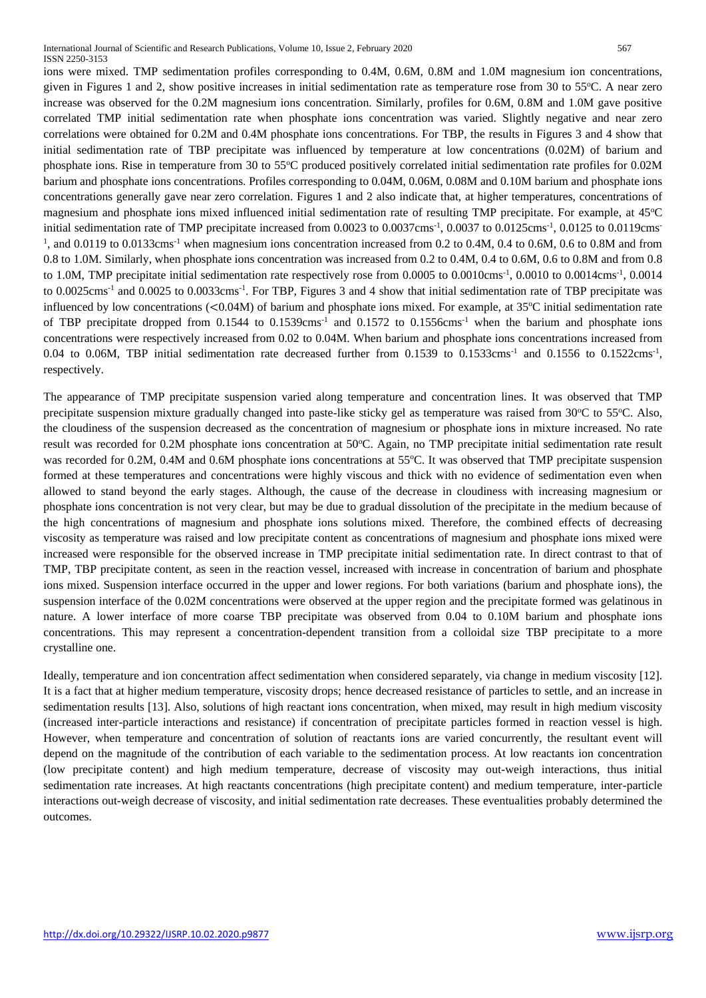ions were mixed. TMP sedimentation profiles corresponding to 0.4M, 0.6M, 0.8M and 1.0M magnesium ion concentrations, given in Figures 1 and 2, show positive increases in initial sedimentation rate as temperature rose from 30 to 55<sup>o</sup>C. A near zero increase was observed for the 0.2M magnesium ions concentration. Similarly, profiles for 0.6M, 0.8M and 1.0M gave positive correlated TMP initial sedimentation rate when phosphate ions concentration was varied. Slightly negative and near zero correlations were obtained for 0.2M and 0.4M phosphate ions concentrations. For TBP, the results in Figures 3 and 4 show that initial sedimentation rate of TBP precipitate was influenced by temperature at low concentrations (0.02M) of barium and phosphate ions. Rise in temperature from 30 to 55<sup>o</sup>C produced positively correlated initial sedimentation rate profiles for 0.02M barium and phosphate ions concentrations. Profiles corresponding to 0.04M, 0.06M, 0.08M and 0.10M barium and phosphate ions concentrations generally gave near zero correlation. Figures 1 and 2 also indicate that, at higher temperatures, concentrations of magnesium and phosphate ions mixed influenced initial sedimentation rate of resulting TMP precipitate. For example, at 45°C initial sedimentation rate of TMP precipitate increased from 0.0023 to 0.0037cms<sup>-1</sup>, 0.0037 to 0.0125cms<sup>-1</sup>, 0.0125 to 0.0119cms<sup>-1</sup>  $<sup>1</sup>$ , and 0.0119 to 0.0133cms<sup>-1</sup> when magnesium ions concentration increased from 0.2 to 0.4M, 0.4 to 0.6M, 0.6 to 0.8M and from</sup> 0.8 to 1.0M. Similarly, when phosphate ions concentration was increased from 0.2 to 0.4M, 0.4 to 0.6M, 0.6 to 0.8M and from 0.8 to 1.0M, TMP precipitate initial sedimentation rate respectively rose from  $0.0005$  to  $0.0010$ cms<sup>-1</sup>,  $0.0010$  to  $0.0014$ cms<sup>-1</sup>,  $0.0014$ to 0.0025cms<sup>-1</sup> and 0.0025 to 0.0033cms<sup>-1</sup>. For TBP, Figures 3 and 4 show that initial sedimentation rate of TBP precipitate was influenced by low concentrations  $(<0.04M$ ) of barium and phosphate ions mixed. For example, at 35 $^{\circ}$ C initial sedimentation rate of TBP precipitate dropped from 0.1544 to 0.1539cms<sup>-1</sup> and 0.1572 to 0.1556cms<sup>-1</sup> when the barium and phosphate ions concentrations were respectively increased from 0.02 to 0.04M. When barium and phosphate ions concentrations increased from 0.04 to 0.06M, TBP initial sedimentation rate decreased further from 0.1539 to 0.1533cms<sup>-1</sup> and 0.1556 to 0.1522cms<sup>-1</sup>, respectively.

The appearance of TMP precipitate suspension varied along temperature and concentration lines. It was observed that TMP precipitate suspension mixture gradually changed into paste-like sticky gel as temperature was raised from  $30^{\circ}$ C to  $55^{\circ}$ C. Also, the cloudiness of the suspension decreased as the concentration of magnesium or phosphate ions in mixture increased. No rate result was recorded for 0.2M phosphate ions concentration at 50°C. Again, no TMP precipitate initial sedimentation rate result was recorded for 0.2M, 0.4M and 0.6M phosphate ions concentrations at 55°C. It was observed that TMP precipitate suspension formed at these temperatures and concentrations were highly viscous and thick with no evidence of sedimentation even when allowed to stand beyond the early stages. Although, the cause of the decrease in cloudiness with increasing magnesium or phosphate ions concentration is not very clear, but may be due to gradual dissolution of the precipitate in the medium because of the high concentrations of magnesium and phosphate ions solutions mixed. Therefore, the combined effects of decreasing viscosity as temperature was raised and low precipitate content as concentrations of magnesium and phosphate ions mixed were increased were responsible for the observed increase in TMP precipitate initial sedimentation rate. In direct contrast to that of TMP, TBP precipitate content, as seen in the reaction vessel, increased with increase in concentration of barium and phosphate ions mixed. Suspension interface occurred in the upper and lower regions. For both variations (barium and phosphate ions), the suspension interface of the 0.02M concentrations were observed at the upper region and the precipitate formed was gelatinous in nature. A lower interface of more coarse TBP precipitate was observed from 0.04 to 0.10M barium and phosphate ions concentrations. This may represent a concentration-dependent transition from a colloidal size TBP precipitate to a more crystalline one.

Ideally, temperature and ion concentration affect sedimentation when considered separately, via change in medium viscosity [12]. It is a fact that at higher medium temperature, viscosity drops; hence decreased resistance of particles to settle, and an increase in sedimentation results [13]. Also, solutions of high reactant ions concentration, when mixed, may result in high medium viscosity (increased inter-particle interactions and resistance) if concentration of precipitate particles formed in reaction vessel is high. However, when temperature and concentration of solution of reactants ions are varied concurrently, the resultant event will depend on the magnitude of the contribution of each variable to the sedimentation process. At low reactants ion concentration (low precipitate content) and high medium temperature, decrease of viscosity may out-weigh interactions, thus initial sedimentation rate increases. At high reactants concentrations (high precipitate content) and medium temperature, inter-particle interactions out-weigh decrease of viscosity, and initial sedimentation rate decreases. These eventualities probably determined the outcomes.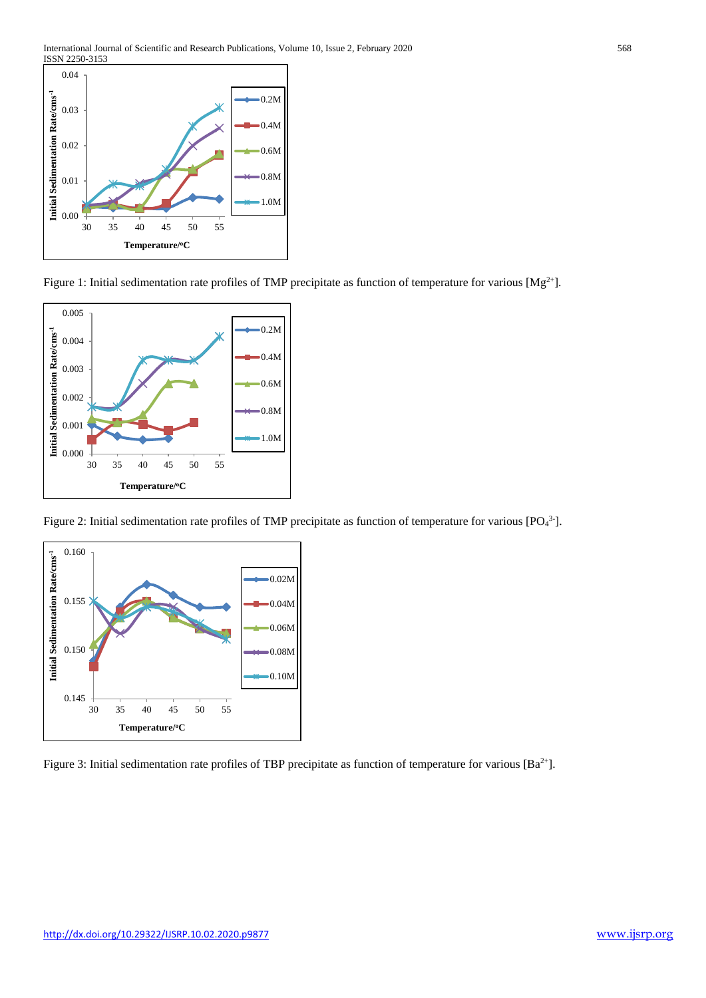

Figure 1: Initial sedimentation rate profiles of TMP precipitate as function of temperature for various [Mg<sup>2+</sup>].



Figure 2: Initial sedimentation rate profiles of TMP precipitate as function of temperature for various [PO $4^3$ ].



Figure 3: Initial sedimentation rate profiles of TBP precipitate as function of temperature for various [Ba<sup>2+</sup>].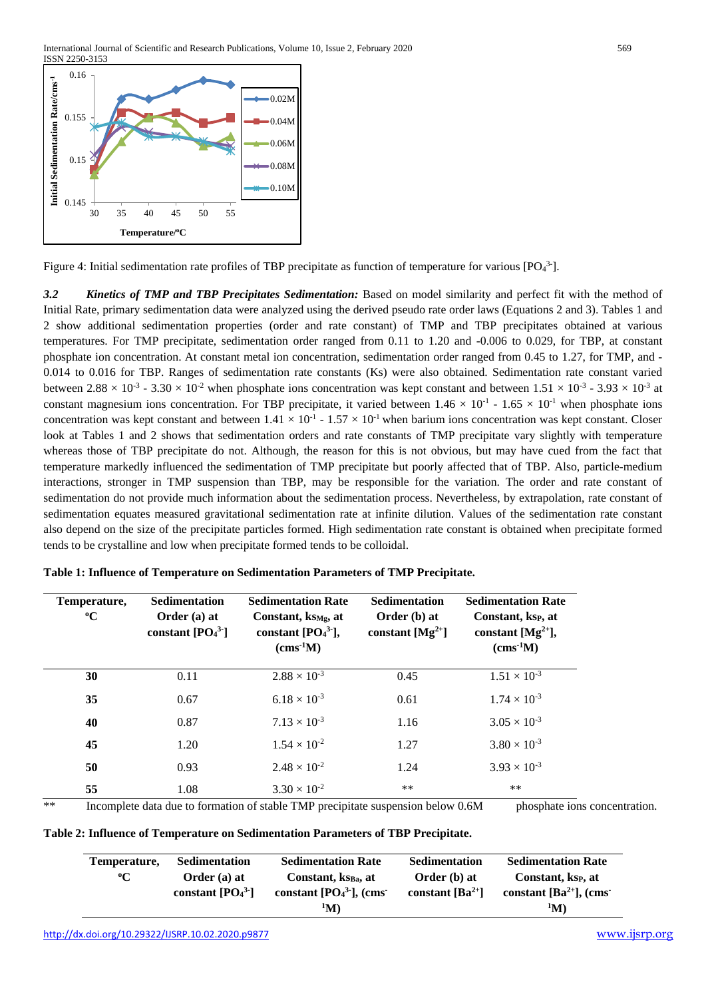

Figure 4: Initial sedimentation rate profiles of TBP precipitate as function of temperature for various [PO $_4$ <sup>3-</sup>].

*3.2 Kinetics of TMP and TBP Precipitates Sedimentation:* Based on model similarity and perfect fit with the method of Initial Rate, primary sedimentation data were analyzed using the derived pseudo rate order laws (Equations 2 and 3). Tables 1 and 2 show additional sedimentation properties (order and rate constant) of TMP and TBP precipitates obtained at various temperatures. For TMP precipitate, sedimentation order ranged from 0.11 to 1.20 and -0.006 to 0.029, for TBP, at constant phosphate ion concentration. At constant metal ion concentration, sedimentation order ranged from 0.45 to 1.27, for TMP, and - 0.014 to 0.016 for TBP. Ranges of sedimentation rate constants (Ks) were also obtained. Sedimentation rate constant varied between  $2.88 \times 10^{-3}$  -  $3.30 \times 10^{-2}$  when phosphate ions concentration was kept constant and between  $1.51 \times 10^{-3}$  -  $3.93 \times 10^{-3}$  at constant magnesium ions concentration. For TBP precipitate, it varied between  $1.46 \times 10^{-1}$  -  $1.65 \times 10^{-1}$  when phosphate ions concentration was kept constant and between  $1.41 \times 10^{-1}$  -  $1.57 \times 10^{-1}$  when barium ions concentration was kept constant. Closer look at Tables 1 and 2 shows that sedimentation orders and rate constants of TMP precipitate vary slightly with temperature whereas those of TBP precipitate do not. Although, the reason for this is not obvious, but may have cued from the fact that temperature markedly influenced the sedimentation of TMP precipitate but poorly affected that of TBP. Also, particle-medium interactions, stronger in TMP suspension than TBP, may be responsible for the variation. The order and rate constant of sedimentation do not provide much information about the sedimentation process. Nevertheless, by extrapolation, rate constant of sedimentation equates measured gravitational sedimentation rate at infinite dilution. Values of the sedimentation rate constant also depend on the size of the precipitate particles formed. High sedimentation rate constant is obtained when precipitate formed tends to be crystalline and low when precipitate formed tends to be colloidal.

| Temperature,<br>$\rm ^oC$ | <b>Sedimentation</b><br>Order $(a)$ at<br>constant $[PO_4^3]$ | <b>Sedimentation Rate</b><br>Constant, $ks_{Mg}$ , at<br>constant $[PO43$ ],<br>$\rm (cms-1M)$ | <b>Sedimentation</b><br>Order (b) at<br>constant $[Mg^{2+}]$ | <b>Sedimentation Rate</b><br>Constant, ksp, at<br>constant [ $Mg^{2+}$ ],<br>$\rm (cms-1M)$ |
|---------------------------|---------------------------------------------------------------|------------------------------------------------------------------------------------------------|--------------------------------------------------------------|---------------------------------------------------------------------------------------------|
| 30                        | 0.11                                                          | $2.88 \times 10^{-3}$                                                                          | 0.45                                                         | $1.51 \times 10^{-3}$                                                                       |
| 35                        | 0.67                                                          | $6.18 \times 10^{-3}$                                                                          | 0.61                                                         | $1.74 \times 10^{-3}$                                                                       |
| 40                        | 0.87                                                          | $7.13 \times 10^{-3}$                                                                          | 1.16                                                         | $3.05 \times 10^{-3}$                                                                       |
| 45                        | 1.20                                                          | $1.54 \times 10^{-2}$                                                                          | 1.27                                                         | $3.80 \times 10^{-3}$                                                                       |
| 50                        | 0.93                                                          | $2.48 \times 10^{-2}$                                                                          | 1.24                                                         | $3.93 \times 10^{-3}$                                                                       |
| 55                        | 1.08                                                          | $3.30 \times 10^{-2}$                                                                          | $***$                                                        | $***$                                                                                       |

|  | Table 1: Influence of Temperature on Sedimentation Parameters of TMP Precipitate. |  |  |
|--|-----------------------------------------------------------------------------------|--|--|
|  |                                                                                   |  |  |

\*\* Incomplete data due to formation of stable TMP precipitate suspension below 0.6M phosphate ions concentration.

| Table 2: Influence of Temperature on Sedimentation Parameters of TBP Precipitate. |  |  |  |  |  |  |  |
|-----------------------------------------------------------------------------------|--|--|--|--|--|--|--|
|-----------------------------------------------------------------------------------|--|--|--|--|--|--|--|

| Temperature, | Sedimentation       | <b>Sedimentation Rate</b>       | Sedimentation        | <b>Sedimentation Rate</b>    |
|--------------|---------------------|---------------------------------|----------------------|------------------------------|
| $\rm ^{o}C$  | Order $(a)$ at      | Constant, ks <sub>Ba</sub> , at | <b>Order</b> (b) at  | Constant, ksp. at            |
|              | constant $[PO_4^3]$ | constant $[PO43$ , (cms)        | constant $[Ba^{2+}]$ | constant $[Ba^{2+}]$ , (cms) |
|              |                     | $\rm^1M$                        |                      | $\rm^1M)$                    |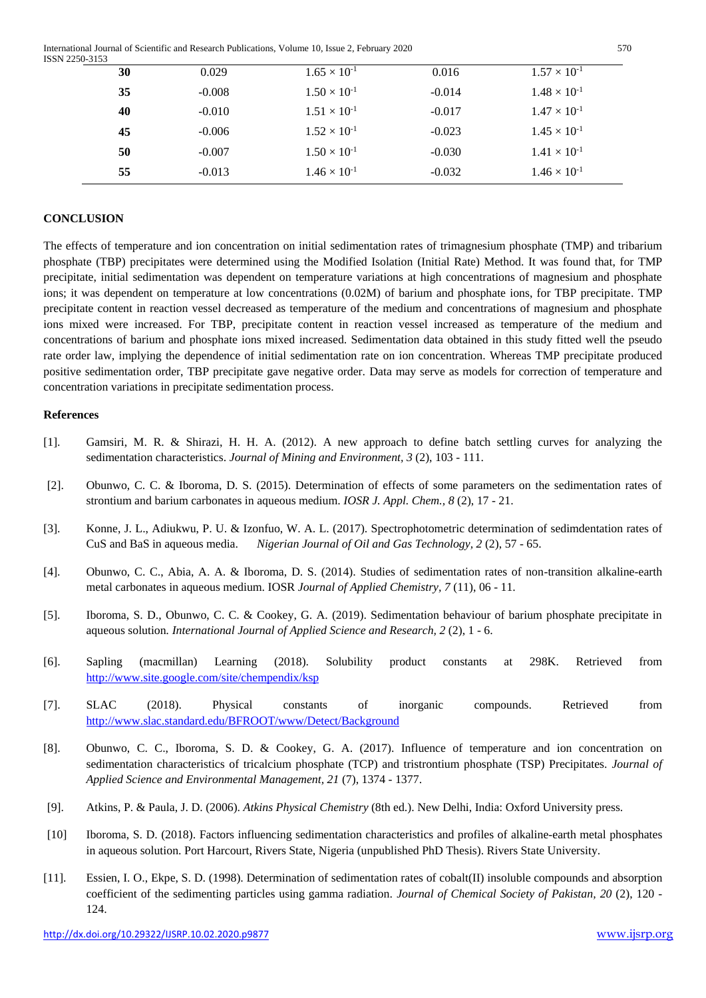International Journal of Scientific and Research Publications, Volume 10, Issue 2, February 2020 570 ISSN 2250-3153

| . . <i>.</i> |          |                       |          |                       |  |
|--------------|----------|-----------------------|----------|-----------------------|--|
| 30           | 0.029    | $1.65 \times 10^{-1}$ | 0.016    | $1.57 \times 10^{-1}$ |  |
| 35           | $-0.008$ | $1.50 \times 10^{-1}$ | $-0.014$ | $1.48 \times 10^{-1}$ |  |
| 40           | $-0.010$ | $1.51 \times 10^{-1}$ | $-0.017$ | $1.47 \times 10^{-1}$ |  |
| 45           | $-0.006$ | $1.52 \times 10^{-1}$ | $-0.023$ | $1.45 \times 10^{-1}$ |  |
| 50           | $-0.007$ | $1.50 \times 10^{-1}$ | $-0.030$ | $1.41 \times 10^{-1}$ |  |
| 55           | $-0.013$ | $1.46 \times 10^{-1}$ | $-0.032$ | $1.46 \times 10^{-1}$ |  |

## **CONCLUSION**

The effects of temperature and ion concentration on initial sedimentation rates of trimagnesium phosphate (TMP) and tribarium phosphate (TBP) precipitates were determined using the Modified Isolation (Initial Rate) Method. It was found that, for TMP precipitate, initial sedimentation was dependent on temperature variations at high concentrations of magnesium and phosphate ions; it was dependent on temperature at low concentrations (0.02M) of barium and phosphate ions, for TBP precipitate. TMP precipitate content in reaction vessel decreased as temperature of the medium and concentrations of magnesium and phosphate ions mixed were increased. For TBP, precipitate content in reaction vessel increased as temperature of the medium and concentrations of barium and phosphate ions mixed increased. Sedimentation data obtained in this study fitted well the pseudo rate order law, implying the dependence of initial sedimentation rate on ion concentration. Whereas TMP precipitate produced positive sedimentation order, TBP precipitate gave negative order. Data may serve as models for correction of temperature and concentration variations in precipitate sedimentation process.

#### **References**

- [1]. Gamsiri, M. R. & Shirazi, H. H. A. (2012). A new approach to define batch settling curves for analyzing the sedimentation characteristics. *Journal of Mining and Environment, 3* (2), 103 - 111.
- [2]. Obunwo, C. C. & Iboroma, D. S. (2015). Determination of effects of some parameters on the sedimentation rates of strontium and barium carbonates in aqueous medium. *IOSR J. Appl. Chem., 8* (2), 17 - 21.
- [3]. Konne, J. L., Adiukwu, P. U. & Izonfuo, W. A. L. (2017). Spectrophotometric determination of sedimdentation rates of CuS and BaS in aqueous media. *Nigerian Journal of Oil and Gas Technology, 2* (2), 57 - 65.
- [4]. Obunwo, C. C., Abia, A. A. & Iboroma, D. S. (2014). Studies of sedimentation rates of non-transition alkaline-earth metal carbonates in aqueous medium. IOSR *Journal of Applied Chemistry, 7* (11), 06 - 11.
- [5]. Iboroma, S. D., Obunwo, C. C. & Cookey, G. A. (2019). Sedimentation behaviour of barium phosphate precipitate in aqueous solution*. International Journal of Applied Science and Research, 2* (2), 1 - 6.
- [6]. Sapling (macmillan) Learning (2018). Solubility product constants at 298K. Retrieved from <http://www.site.google.com/site/chempendix/ksp>
- [7]. SLAC (2018). Physical constants of inorganic compounds. Retrieved from <http://www.slac.standard.edu/BFROOT/www/Detect/Background>
- [8]. Obunwo, C. C., Iboroma, S. D. & Cookey, G. A. (2017). Influence of temperature and ion concentration on sedimentation characteristics of tricalcium phosphate (TCP) and tristrontium phosphate (TSP) Precipitates. *Journal of Applied Science and Environmental Management, 21* (7), 1374 - 1377.
- [9]. Atkins, P. & Paula, J. D. (2006). *Atkins Physical Chemistry* (8th ed.). New Delhi, India: Oxford University press.
- [10] Iboroma, S. D. (2018). Factors influencing sedimentation characteristics and profiles of alkaline-earth metal phosphates in aqueous solution. Port Harcourt, Rivers State, Nigeria (unpublished PhD Thesis). Rivers State University.
- [11]. Essien, I. O., Ekpe, S. D. (1998). Determination of sedimentation rates of cobalt(II) insoluble compounds and absorption coefficient of the sedimenting particles using gamma radiation. *Journal of Chemical Society of Pakistan, 20* (2), 120 - 124.